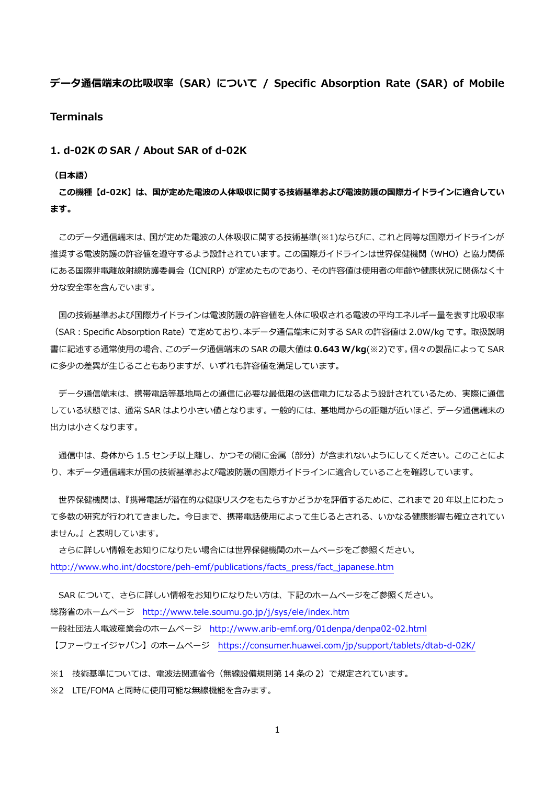**データ通信端末の⽐吸収率(SAR)について / Specific Absorption Rate (SAR) of Mobile Terminals** 

**1. d-02K の SAR / About SAR of d-02K** 

#### **(⽇本語)**

**この機種【d-02K】は、国が定めた電波の⼈体吸収に関する技術基準および電波防護の国際ガイドラインに適合してい ます。** 

 このデータ通信端末は、国が定めた電波の⼈体吸収に関する技術基準(※1)ならびに、これと同等な国際ガイドラインが 推奨する電波防護の許容値を遵守するよう設計されています。この国際ガイドラインは世界保健機関(WHO)と協力関係 にある国際非電離放射線防護委員会(ICNIRP)が定めたものであり、その許容値は使用者の年齢や健康状況に関係なく十 分な安全率を含んでいます。

国の技術基準および国際ガイドラインは電波防護の許容値を人体に吸収される電波の平均エネルギー量を表す比吸収率 (SAR︓Specific Absorption Rate)で定めており、本データ通信端末に対する SAR の許容値は 2.0W/kg です。取扱説明 書に記述する通常使⽤の場合、このデータ通信端末の SAR の最⼤値は **0.643 W/kg**(※2)です。個々の製品によって SAR に多少の差異が生じることもありますが、いずれも許容値を満足しています。

 データ通信端末は、携帯電話等基地局との通信に必要な最低限の送信電⼒になるよう設計されているため、実際に通信 している状態では、通常 SAR はより⼩さい値となります。⼀般的には、基地局からの距離が近いほど、データ通信端末の 出力は小さくなります。

通信中は、身体から 1.5 センチ以上離し、かつその間に金属 (部分) が含まれないようにしてください。このことによ り、本データ通信端末が国の技術基準および電波防護の国際ガイドラインに適合していることを確認しています。

 世界保健機関は、『携帯電話が潜在的な健康リスクをもたらすかどうかを評価するために、これまで 20 年以上にわたっ て多数の研究が行われてきました。今日まで、携帯電話使用によって生じるとされる、いかなる健康影響も確立されてい ません。』と表明しています。

 さらに詳しい情報をお知りになりたい場合には世界保健機関のホームページをご参照ください。 http://www.who.int/docstore/peh-emf/publications/facts\_press/fact\_japanese.htm

SAR について、さらに詳しい情報をお知りになりたい方は、下記のホームページをご参照ください。 総務省のホームページ http://www.tele.soumu.go.jp/j/sys/ele/index.htm ⼀般社団法⼈電波産業会のホームページ http://www.arib-emf.org/01denpa/denpa02-02.html

【ファーウェイジャパン】のホームページ https://consumer.huawei.com/jp/support/tablets/dtab-d-02K/

※1 技術基準については、電波法関連省令(無線設備規則第 14 条の 2)で規定されています。

※2 LTE/FOMA と同時に使用可能な無線機能を含みます。

1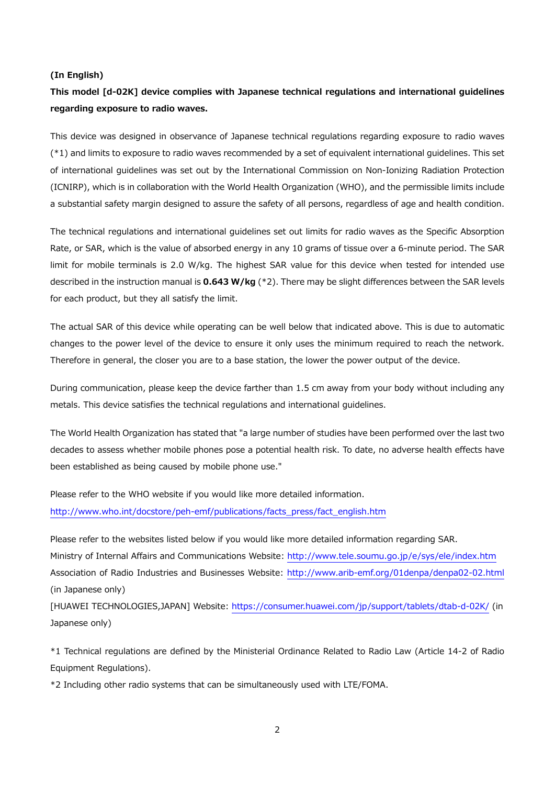#### **(In English)**

# **This model [d-02K] device complies with Japanese technical regulations and international guidelines regarding exposure to radio waves.**

This device was designed in observance of Japanese technical regulations regarding exposure to radio waves (\*1) and limits to exposure to radio waves recommended by a set of equivalent international guidelines. This set of international guidelines was set out by the International Commission on Non-Ionizing Radiation Protection (ICNIRP), which is in collaboration with the World Health Organization (WHO), and the permissible limits include a substantial safety margin designed to assure the safety of all persons, regardless of age and health condition.

The technical regulations and international guidelines set out limits for radio waves as the Specific Absorption Rate, or SAR, which is the value of absorbed energy in any 10 grams of tissue over a 6-minute period. The SAR limit for mobile terminals is 2.0 W/kg. The highest SAR value for this device when tested for intended use described in the instruction manual is **0.643 W/kg** (\*2). There may be slight differences between the SAR levels for each product, but they all satisfy the limit.

The actual SAR of this device while operating can be well below that indicated above. This is due to automatic changes to the power level of the device to ensure it only uses the minimum required to reach the network. Therefore in general, the closer you are to a base station, the lower the power output of the device.

During communication, please keep the device farther than 1.5 cm away from your body without including any metals. This device satisfies the technical regulations and international guidelines.

The World Health Organization has stated that "a large number of studies have been performed over the last two decades to assess whether mobile phones pose a potential health risk. To date, no adverse health effects have been established as being caused by mobile phone use."

Please refer to the WHO website if you would like more detailed information. http://www.who.int/docstore/peh-emf/publications/facts\_press/fact\_english.htm

Please refer to the websites listed below if you would like more detailed information regarding SAR. Ministry of Internal Affairs and Communications Website: http://www.tele.soumu.go.jp/e/sys/ele/index.htm Association of Radio Industries and Businesses Website: http://www.arib-emf.org/01denpa/denpa02-02.html (in Japanese only)

[HUAWEI TECHNOLOGIES,JAPAN] Website: https://consumer.huawei.com/jp/support/tablets/dtab-d-02K/ (in Japanese only)

\*1 Technical regulations are defined by the Ministerial Ordinance Related to Radio Law (Article 14-2 of Radio Equipment Regulations).

\*2 Including other radio systems that can be simultaneously used with LTE/FOMA.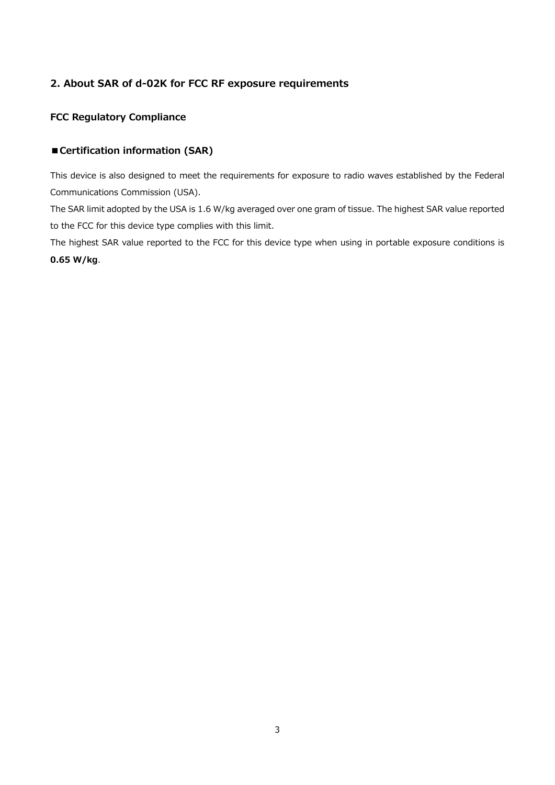## **2. About SAR of d-02K for FCC RF exposure requirements**

## **FCC Regulatory Compliance**

## **■Certification information (SAR)**

This device is also designed to meet the requirements for exposure to radio waves established by the Federal Communications Commission (USA).

The SAR limit adopted by the USA is 1.6 W/kg averaged over one gram of tissue. The highest SAR value reported to the FCC for this device type complies with this limit.

The highest SAR value reported to the FCC for this device type when using in portable exposure conditions is **0.65 W/kg**.